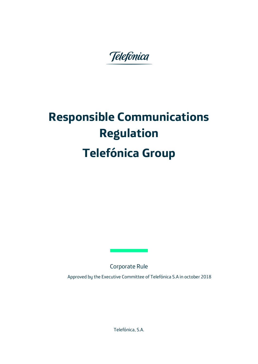Telefónica

# **Responsible Communications Regulation Telefónica Group**

Corporate Rule

Approved by the Executive Committee of Telefónica S.A in october 2018

Telefónica, S.A.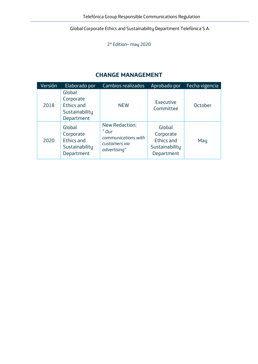2ª Edition– may 2020

#### **CHANGE MANAGEMENT**

| Versión | Elaborado por                                                            | Cambios realizados                                                              | Aprobado por                                                             | Fecha vigencia |
|---------|--------------------------------------------------------------------------|---------------------------------------------------------------------------------|--------------------------------------------------------------------------|----------------|
| 2018    | Global<br>Corporate<br>Ethics and<br>Sustainability<br>Department        | <b>NEW</b>                                                                      | Executive<br>Committee                                                   | October        |
| 2020    | Global<br>Corporate<br><b>Ethics and</b><br>Sustainability<br>Department | New Redaction;<br>" Our<br>communications with<br>customers via<br>advertising" | Global<br>Corporate<br><b>Ethics and</b><br>Sustainability<br>Department | May            |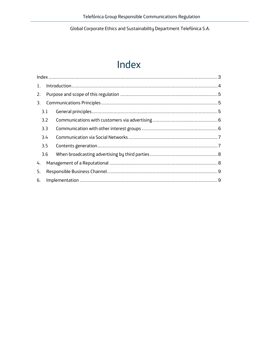# Index

<span id="page-2-0"></span>

| 1. |     |  |  |
|----|-----|--|--|
| 2. |     |  |  |
| 3. |     |  |  |
|    | 3.1 |  |  |
|    | 3.2 |  |  |
|    | 3.3 |  |  |
|    | 3.4 |  |  |
|    | 3.5 |  |  |
|    | 3.6 |  |  |
| 4. |     |  |  |
| 5. |     |  |  |
| 6. |     |  |  |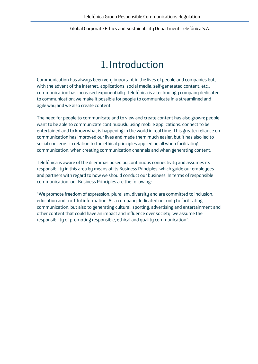# 1.Introduction

<span id="page-3-0"></span>Communication has always been very important in the lives of people and companies but, with the advent of the internet, applications, social media, self-generated content, etc., communication has increased exponentially. Telefónica is a technology company dedicated to communication; we make it possible for people to communicate in a streamlined and agile way and we also create content.

The need for people to communicate and to view and create content has also grown: people want to be able to communicate continuously using mobile applications, connect to be entertained and to know what is happening in the world in real time. This greater reliance on communication has improved our lives and made them much easier, but it has also led to social concerns, in relation to the ethical principles applied by all when facilitating communication, when creating communication channels and when generating content.

Telefónica is aware of the dilemmas posed by continuous connectivity and assumes its responsibility in this area by means of its Business Principles, which guide our employees and partners with regard to how we should conduct our business. In terms of responsible communication, our Business Principles are the following:

"We promote freedom of expression, pluralism, diversity and are committed to inclusion, education and truthful information. As a company dedicated not only to facilitating communication, but also to generating cultural, sporting, advertising and entertainment and other content that could have an impact and influence over society, we assume the responsibility of promoting responsible, ethical and quality communication".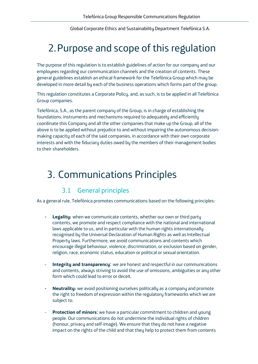# <span id="page-4-0"></span>2.Purpose and scope of this regulation

The purpose of this regulation is to establish guidelines of action for our company and our employees regarding our communication channels and the creation of contents. These general guidelines establish an ethical framework for the Telefónica Group which may be developed in more detail by each of the business operations which forms part of the group.

This regulation constitutes a Corporate Policy, and, as such, is to be applied in all Telefónica Group companies.

Telefónica, S.A., as the parent company of the Group, is in charge of establishing the foundations, instruments and mechanisms required to adequately and efficiently coordinate this Company and all the other companies that make up the Group; all of the above is to be applied without prejudice to and without impairing the autonomous decisionmaking capacity of each of the said companies, in accordance with their own corporate interests and with the fiduciary duties owed by the members of their management bodies to their shareholders.

### <span id="page-4-1"></span>3. Communications Principles

#### 3.1 General principles

<span id="page-4-2"></span>As a general rule, Telefónica promotes communications based on the following principles:

- Legality: when we communicate contents, whether our own or third party contents, we promote and respect compliance with the national and international laws applicable to us, and in particular with the human rights internationally recognised by the Universal Declaration of Human Rights as well as Intellectual Property laws. Furthermore, we avoid communications and contents which encourage illegal behaviour, violence, discrimination, or exclusion based on gender, religion, race, economic status, education or political or sexual orientation.
- **Integrity and transparency**: we are honest and respectful in our communications and contents, always striving to avoid the use of omissions, ambiguities or any other form which could lead to error or deceit.
- **Neutrality:** we avoid positioning ourselves politically as a company and promote the right to freedom of expression within the regulatory frameworks which we are subject to.
- **Protection of minors:** we have a particular commitment to children and young people. Our communications do not undermine the individual rights of children (honour, privacy and self-image). We ensure that they do not have a negative impact on the rights of the child and that they help to protect them from contents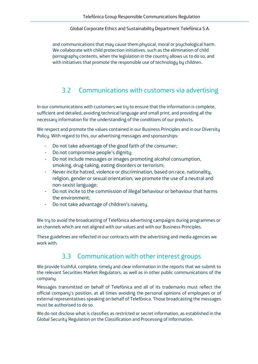and communications that may cause them physical, moral or psychological harm. We collaborate with child protection initiatives, such as the elimination of child pornography contents, when the legislation in the country allows us to do so, and with initiatives that promote the responsible use of technology by children.

#### <span id="page-5-0"></span>3.2 Communications with customers via advertising

In our communications with customers we try to ensure that the information is complete, sufficient and detailed, avoiding technical language and small print, and providing all the necessary information for the understanding of the conditions of our products.

We respect and promote the values contained in our Business Principles and in our Diversity Policy. With regard to this, our advertising messages and sponsorships:

- Do not take advantage of the good faith of the consumer;
- Do not compromise people's dignity;
- Do not include messages or images promoting alcohol consumption, smoking, drug-taking, eating disorders or terrorism;
- Never incite hatred, violence or discrimination, based on race, nationality, religion, gender or sexual orientation; we promote the use of a neutral and non-sexist language;
- Do not incite to the commission of illegal behaviour or behaviour that harms the environment;
- Do not take advantage of children's naivety.

We try to avoid the broadcasting of Telefónica advertising campaigns during programmes or on channels which are not aligned with our values and with our Business Principles.

These guidelines are reflected in our contracts with the advertising and media agencies we work with

#### 3.3 Communication with other interest groups

<span id="page-5-1"></span>We provide truthful, complete, timely and clear information in the reports that we submit to the relevant Securities Market Regulators, as well as in other public communications of the company.

Messages transmitted on behalf of Telefónica and all of its trademarks must reflect the official company's position, at all times avoiding the personal opinions of employees or of external representatives speaking on behalf of Telefónica. Those broadcasting the messages must be authorised to do so.

We do not disclose what is classifies as restricted or secret information, as established in the Global Security Regulation on the Classification and Processing of Information.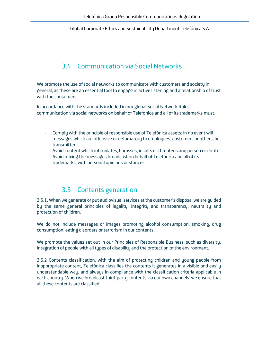#### 3.4 Communication via Social Networks

<span id="page-6-0"></span>We promote the use of social networks to communicate with customers and society in general, as these are an essential tool to engage in active listening and a relationship of trust with the consumers.

In accordance with the standards included in our global Social Network Rules, communication via social networks on behalf of Telefónica and all of its trademarks must:

- Comply with the principle of responsible use of Telefónica assets: in no event will messages which are offensive or defamatory to employees, customers or others, be transmitted.
- Avoid content which intimidates, harasses, insults or threatens any person or entity.
- Avoid mixing the messages broadcast on behalf of Telefónica and all of its trademarks, with personal opinions or stances.

#### 3.5 Contents generation

<span id="page-6-1"></span>3.5.1. When we generate or put audiovisual services at the customer's disposal we are guided by the same general principles of legality, integrity and transparency, neutrality and protection of children.

We do not include messages or images promoting alcohol consumption, smoking, drug consumption, eating disorders or terrorism in our contents.

We promote the values set out in our Principles of Responsible Business, such as diversity, integration of people with all types of disability and the protection of the environment.

3.5.2 Contents classification: with the aim of protecting children and young people from inappropriate content, Telefónica classifies the contents it generates in a visible and easily understandable way, and always in compliance with the classification criteria applicable in each country. When we broadcast third-party contents via our own channels, we ensure that all these contents are classified.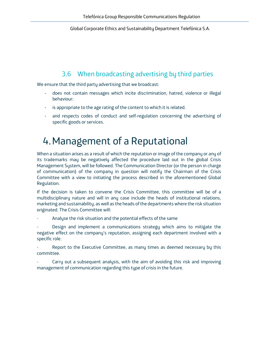#### 3.6 When broadcasting advertising by third parties

<span id="page-7-0"></span>We ensure that the third party advertising that we broadcast:

- does not contain messages which incite discrimination, hatred, violence or illegal behaviour:
- is appropriate to the age rating of the content to which it is related.
- and respects codes of conduct and self-regulation concerning the advertising of specific goods or services.

# <span id="page-7-1"></span>4.Management of a Reputational

When a situation arises as a result of which the reputation or image of the company or any of its trademarks may be negatively affected the procedure laid out in the global Crisis Management System, will be followed. The Communication Director (or the person in charge of communication) of the company in question will notify the Chairman of the Crisis Committee with a view to initiating the process described in the aforementioned Global Regulation.

If the decision is taken to convene the Crisis Committee, this committee will be of a multidisciplinary nature and will in any case include the heads of institutional relations, marketing and sustainability, as well as the heads of the departments where the risk situation originated. The Crisis Committee will:

Analyse the risk situation and the potential effects of the same

Design and implement a communications strategy which aims to mitigate the negative effect on the company's reputation, assigning each department involved with a specific role.

Report to the Executive Committee, as many times as deemed necessary by this committee.

Carry out a subsequent analysis, with the aim of avoiding this risk and improving management of communication regarding this type of crisis in the future.